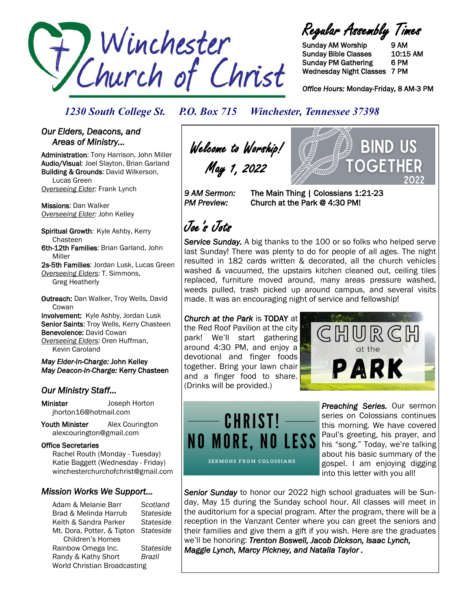

Regular Assembly Times

Sunday AM Worship 9 AM Sunday Bible Classes 10:15 AM Sunday PM Gathering 6 PM Wednesday Night Classes 7 PM

*Office Hours:* Monday-Friday, 8 AM-3 PM

BIND US

OGFTI

*1230 South College St. P.O. Box 715 Winchester, Tennessee 37398*

#### *Our Elders, Deacons, and Areas of Ministry…*

Administration: Tony Harrison, John Miller Audio/Visual: Joel Slayton, Brian Garland Building & Grounds: David Wilkerson, Lucas Green *Overseeing Elder:* Frank Lynch

Missions: Dan Walker *Overseeing Elder:* John Kelley

Spiritual Growth*:* Kyle Ashby, Kerry Chasteen 6th-12th Families: Brian Garland, John Miller

2s-5th Families: Jordan Lusk, Lucas Green *Overseeing Elders:* T. Simmons, Greg Heatherly

Outreach: Dan Walker, Troy Wells, David **Cowan** Involvement: Kyle Ashby, Jordan Lusk Senior Saints: Troy Wells, Kerry Chasteen

Benevolence: David Cowan

*Overseeing Elders:* Oren Huffman, Kevin Caroland

#### *May Elder-In-Charge:* John Kelley *May Deacon-In-Charge:* Kerry Chasteen

### *Our Ministry Staff…*

Minister Joseph Horton jhorton16@hotmail.com

Youth Minister Alex Courington alexcourington@gmail.com

#### Office Secretaries

 Rachel Routh (Monday - Tuesday) Katie Baggett (Wednesday - Friday) winchesterchurchofchrist@gmail.com

#### *Mission Works We Support…*

Adam & Melanie Barr *Scotland* Brad & Melinda Harrub *Stateside* Keith & Sandra Parker *Stateside* Mt. Dora, Potter, & Tipton *Stateside* Children's Homes Rainbow Omega Inc. *Stateside* Randy & Kathy Short *Brazil* World Christian Broadcasting

Welcome to Worship! May 1, 2022

*9 AM Sermon:* The Main Thing | Colossians 1:21-23 *PM Preview:* Church at the Park @ 4:30 PM!

# Joe's Jots

*Service Sunday.* A big thanks to the 100 or so folks who helped serve last Sunday! There was plenty to do for people of all ages. The night resulted in 182 cards written & decorated, all the church vehicles washed & vacuumed, the upstairs kitchen cleaned out, ceiling tiles replaced, furniture moved around, many areas pressure washed, weeds pulled, trash picked up around campus, and several visits made. It was an encouraging night of service and fellowship!

#### *Church at the Park* is TODAY at

the Red Roof Pavilion at the city park! We'll start gathering around 4:30 PM, and enjoy a devotional and finger foods together. Bring your lawn chair and a finger food to share. (Drinks will be provided.)





*Preaching Series.* Our sermon series on Colossians continues this morning. We have covered Paul's greeting, his prayer, and his "song." Today, we're talking about his basic summary of the gospel. I am enjoying digging into this letter with you all!

*Senior Sunday* to honor our 2022 high school graduates will be Sunday, May 15 during the Sunday school hour. All classes will meet in the auditorium for a special program. After the program, there will be a reception in the Vanzant Center where you can greet the seniors and their families and give them a gift if you wish. Here are the graduates we'll be honoring: *Trenton Boswell, Jacob Dickson, Isaac Lynch, Maggie Lynch, Marcy Pickney, and Natalia Taylor .*